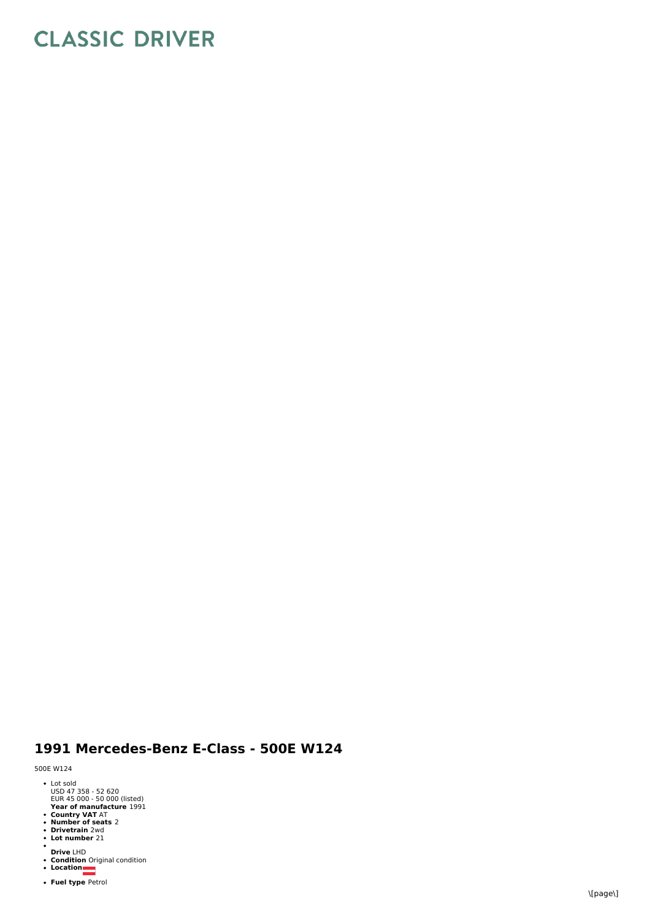## **CLASSIC DRIVER**

## **1991 Merced**<br>
500E W124<br>
• Lot sold<br>
USD 47 358 - 52 620<br>
EUR 45 000 - 50 000 (IV<br>
Fear of manufacture<br>
• Country VAT AT<br>
• Number of seats 2<br>
• Drive LHD<br>
• Condition Original co<br>
• Location<br>
• Fuel type Petrol edes-Benz E-Class - 500E W124

500E W124

- Lot sol
- Lot sold<br>USD 47 358 52 620<br>EUR 45 000 50 000 (listed)
- 
- Year of manufacture 1991<br>Country VAT AT<br>Number of seats 2<br>Drivetrain 2wd<br>Lot number 21
- 
- 
- **D riv e** L H
- Drive LHD<br>Condition Original condition<br>Location
- 
- **Fuel type Petro**